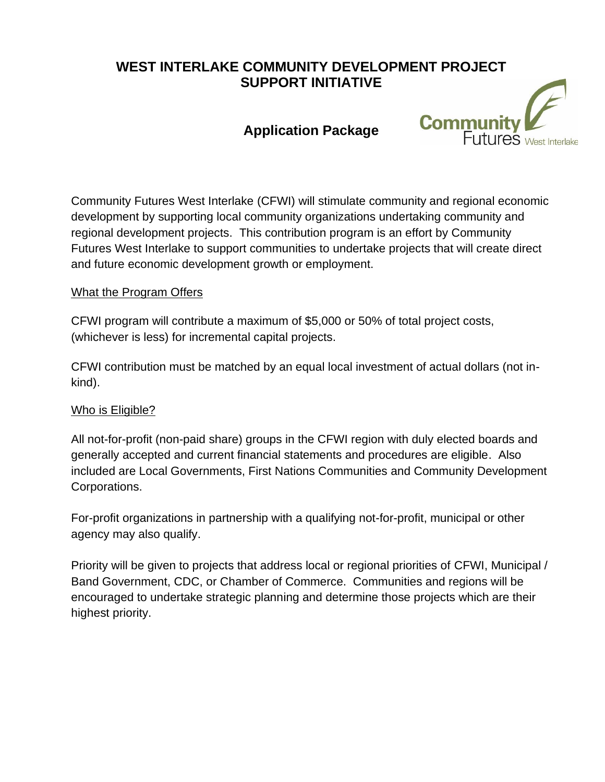# **WEST INTERLAKE COMMUNITY DEVELOPMENT PROJECT SUPPORT INITIATIVE**

# **Application Package**



Community Futures West Interlake (CFWI) will stimulate community and regional economic development by supporting local community organizations undertaking community and regional development projects. This contribution program is an effort by Community Futures West Interlake to support communities to undertake projects that will create direct and future economic development growth or employment.

## What the Program Offers

CFWI program will contribute a maximum of \$5,000 or 50% of total project costs, (whichever is less) for incremental capital projects.

CFWI contribution must be matched by an equal local investment of actual dollars (not inkind).

## Who is Eligible?

All not-for-profit (non-paid share) groups in the CFWI region with duly elected boards and generally accepted and current financial statements and procedures are eligible. Also included are Local Governments, First Nations Communities and Community Development Corporations.

For-profit organizations in partnership with a qualifying not-for-profit, municipal or other agency may also qualify.

Priority will be given to projects that address local or regional priorities of CFWI, Municipal / Band Government, CDC, or Chamber of Commerce. Communities and regions will be encouraged to undertake strategic planning and determine those projects which are their highest priority.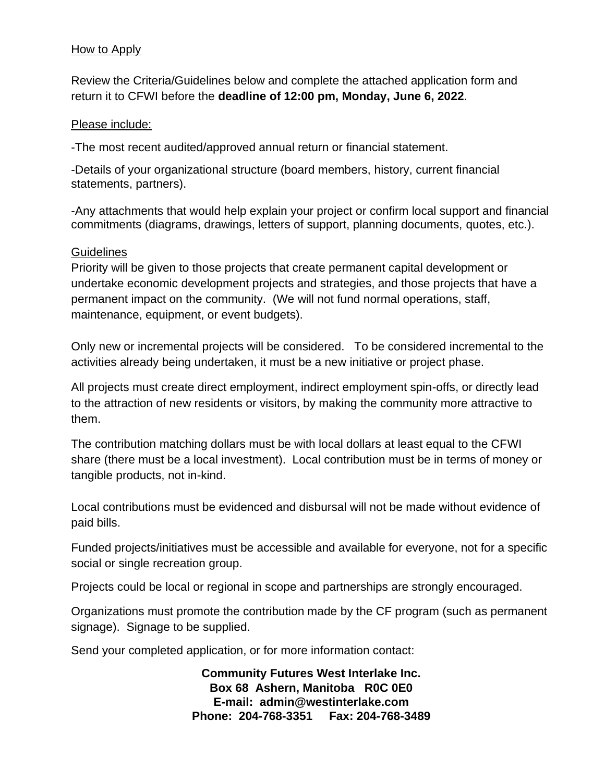## How to Apply

Review the Criteria/Guidelines below and complete the attached application form and return it to CFWI before the **deadline of 12:00 pm, Monday, June 6, 2022**.

### Please include:

-The most recent audited/approved annual return or financial statement.

-Details of your organizational structure (board members, history, current financial statements, partners).

-Any attachments that would help explain your project or confirm local support and financial commitments (diagrams, drawings, letters of support, planning documents, quotes, etc.).

### **Guidelines**

Priority will be given to those projects that create permanent capital development or undertake economic development projects and strategies, and those projects that have a permanent impact on the community. (We will not fund normal operations, staff, maintenance, equipment, or event budgets).

Only new or incremental projects will be considered. To be considered incremental to the activities already being undertaken, it must be a new initiative or project phase.

All projects must create direct employment, indirect employment spin-offs, or directly lead to the attraction of new residents or visitors, by making the community more attractive to them.

The contribution matching dollars must be with local dollars at least equal to the CFWI share (there must be a local investment). Local contribution must be in terms of money or tangible products, not in-kind.

Local contributions must be evidenced and disbursal will not be made without evidence of paid bills.

Funded projects/initiatives must be accessible and available for everyone, not for a specific social or single recreation group.

Projects could be local or regional in scope and partnerships are strongly encouraged.

Organizations must promote the contribution made by the CF program (such as permanent signage). Signage to be supplied.

Send your completed application, or for more information contact:

**Community Futures West Interlake Inc. Box 68 Ashern, Manitoba R0C 0E0 E-mail: admin@westinterlake.com Phone: 204-768-3351 Fax: 204-768-3489**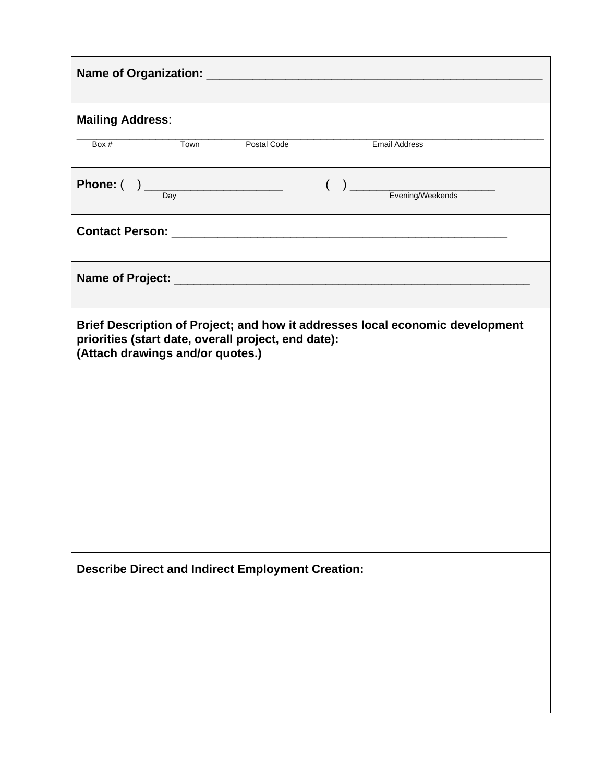| <b>Mailing Address:</b>                                                                 |      |                    |  |                                                                                                                                                                                                                                                                                                                                                                                                                 |  |
|-----------------------------------------------------------------------------------------|------|--------------------|--|-----------------------------------------------------------------------------------------------------------------------------------------------------------------------------------------------------------------------------------------------------------------------------------------------------------------------------------------------------------------------------------------------------------------|--|
| Box #                                                                                   | Town | <b>Postal Code</b> |  | <b>Email Address</b>                                                                                                                                                                                                                                                                                                                                                                                            |  |
|                                                                                         |      |                    |  | <b>Phone:</b> $\begin{pmatrix} 1 & 1 \\ 0 & 0 \end{pmatrix}$ $\begin{pmatrix} 1 & 1 \\ 0 & 1 \end{pmatrix}$ $\begin{pmatrix} 1 & 1 \\ 0 & 1 \end{pmatrix}$ $\begin{pmatrix} 1 & 1 \\ 0 & 1 \end{pmatrix}$ $\begin{pmatrix} 1 & 1 \\ 0 & 1 \end{pmatrix}$ $\begin{pmatrix} 1 & 1 \\ 0 & 1 \end{pmatrix}$ $\begin{pmatrix} 1 & 1 \\ 0 & 1 \end{pmatrix}$ $\begin{pmatrix} 1 & 1 \\ 0 & 1 \end{pmatrix}$ $\begin{$ |  |
|                                                                                         |      |                    |  |                                                                                                                                                                                                                                                                                                                                                                                                                 |  |
|                                                                                         |      |                    |  |                                                                                                                                                                                                                                                                                                                                                                                                                 |  |
| priorities (start date, overall project, end date):<br>(Attach drawings and/or quotes.) |      |                    |  | Brief Description of Project; and how it addresses local economic development                                                                                                                                                                                                                                                                                                                                   |  |
| <b>Describe Direct and Indirect Employment Creation:</b>                                |      |                    |  |                                                                                                                                                                                                                                                                                                                                                                                                                 |  |
|                                                                                         |      |                    |  |                                                                                                                                                                                                                                                                                                                                                                                                                 |  |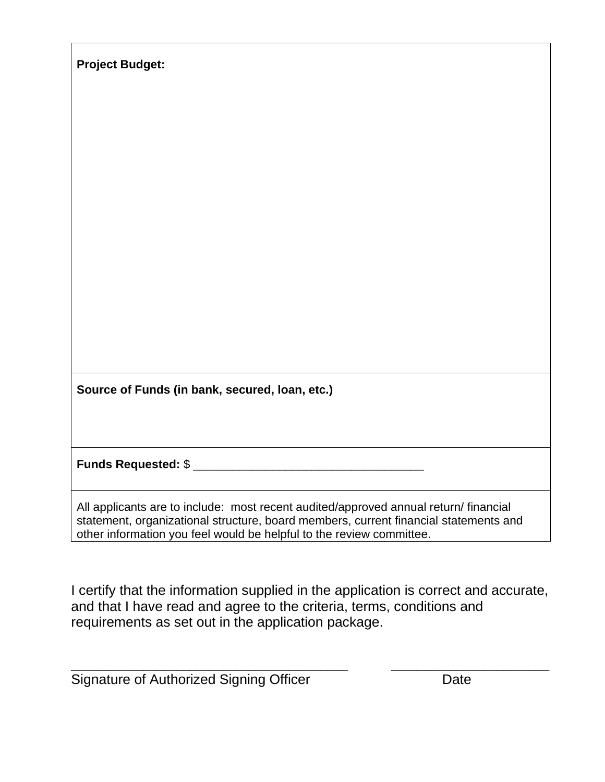| <b>Project Budget:</b>                                                                                                                                                                                                                               |
|------------------------------------------------------------------------------------------------------------------------------------------------------------------------------------------------------------------------------------------------------|
|                                                                                                                                                                                                                                                      |
|                                                                                                                                                                                                                                                      |
|                                                                                                                                                                                                                                                      |
|                                                                                                                                                                                                                                                      |
|                                                                                                                                                                                                                                                      |
|                                                                                                                                                                                                                                                      |
|                                                                                                                                                                                                                                                      |
| Source of Funds (in bank, secured, loan, etc.)                                                                                                                                                                                                       |
|                                                                                                                                                                                                                                                      |
| Funds Requested: \$                                                                                                                                                                                                                                  |
|                                                                                                                                                                                                                                                      |
| All applicants are to include: most recent audited/approved annual return/ financial<br>statement, organizational structure, board members, current financial statements and<br>other information you feel would be helpful to the review committee. |

I certify that the information supplied in the application is correct and accurate, and that I have read and agree to the criteria, terms, conditions and requirements as set out in the application package.

\_\_\_\_\_\_\_\_\_\_\_\_\_\_\_\_\_\_\_\_\_\_\_\_\_\_\_\_\_\_\_\_\_\_\_\_\_\_\_\_\_\_ \_\_\_\_\_\_\_\_\_\_\_\_\_\_\_\_\_\_\_\_\_\_\_\_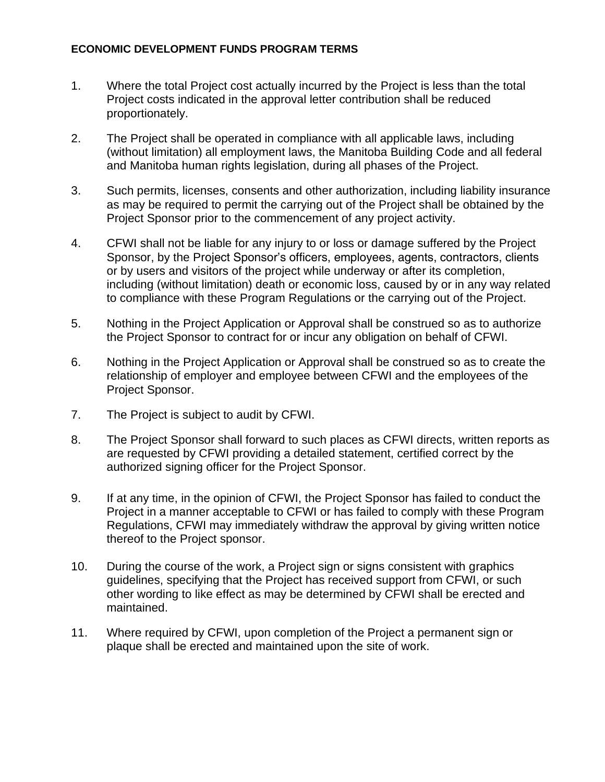### **ECONOMIC DEVELOPMENT FUNDS PROGRAM TERMS**

- 1. Where the total Project cost actually incurred by the Project is less than the total Project costs indicated in the approval letter contribution shall be reduced proportionately.
- 2. The Project shall be operated in compliance with all applicable laws, including (without limitation) all employment laws, the Manitoba Building Code and all federal and Manitoba human rights legislation, during all phases of the Project.
- 3. Such permits, licenses, consents and other authorization, including liability insurance as may be required to permit the carrying out of the Project shall be obtained by the Project Sponsor prior to the commencement of any project activity.
- 4. CFWI shall not be liable for any injury to or loss or damage suffered by the Project Sponsor, by the Project Sponsor's officers, employees, agents, contractors, clients or by users and visitors of the project while underway or after its completion, including (without limitation) death or economic loss, caused by or in any way related to compliance with these Program Regulations or the carrying out of the Project.
- 5. Nothing in the Project Application or Approval shall be construed so as to authorize the Project Sponsor to contract for or incur any obligation on behalf of CFWI.
- 6. Nothing in the Project Application or Approval shall be construed so as to create the relationship of employer and employee between CFWI and the employees of the Project Sponsor.
- 7. The Project is subject to audit by CFWI.
- 8. The Project Sponsor shall forward to such places as CFWI directs, written reports as are requested by CFWI providing a detailed statement, certified correct by the authorized signing officer for the Project Sponsor.
- 9. If at any time, in the opinion of CFWI, the Project Sponsor has failed to conduct the Project in a manner acceptable to CFWI or has failed to comply with these Program Regulations, CFWI may immediately withdraw the approval by giving written notice thereof to the Project sponsor.
- 10. During the course of the work, a Project sign or signs consistent with graphics guidelines, specifying that the Project has received support from CFWI, or such other wording to like effect as may be determined by CFWI shall be erected and maintained.
- 11. Where required by CFWI, upon completion of the Project a permanent sign or plaque shall be erected and maintained upon the site of work.